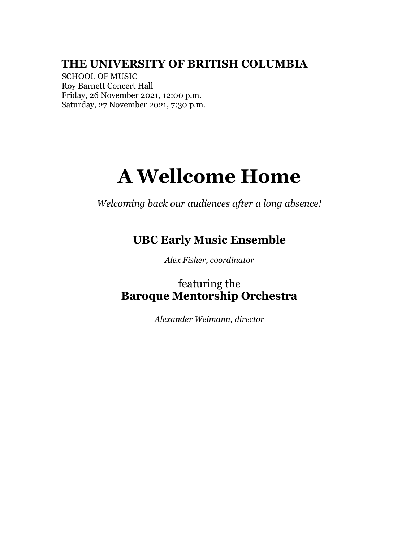# **THE UNIVERSITY OF BRITISH COLUMBIA**

SCHOOL OF MUSIC Roy Barnett Concert Hall Friday, 26 November 2021, 12:00 p.m. Saturday, 27 November 2021, 7:30 p.m.

# **A Wellcome Home**

*Welcoming back our audiences after a long absence!*

# **UBC Early Music Ensemble**

*Alex Fisher, coordinator*

featuring the **Baroque Mentorship Orchestra**

*Alexander Weimann, director*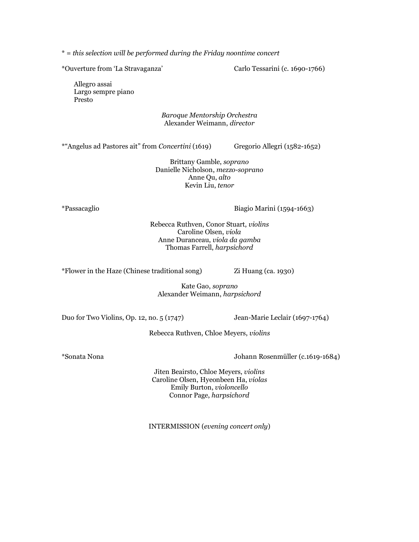\* = *this selection will be performed during the Friday noontime concert*

\*Ouverture from 'La Stravaganza' Carlo Tessarini (c. 1690-1766)

Allegro assai Largo sempre piano Presto

#### *Baroque Mentorship Orchestra* Alexander Weimann, *director*

\*"Angelus ad Pastores ait" from *Concertini* (1619) Gregorio Allegri (1582-1652)

Brittany Gamble, *soprano* Danielle Nicholson, *mezzo-soprano* Anne Qu, *alto* Kevin Liu, *tenor*

\*Passacaglio Biagio Marini (1594-1663)

Rebecca Ruthven, Conor Stuart, *violins* Caroline Olsen, *viola* Anne Duranceau, *viola da gamba* Thomas Farrell, *harpsichord*

\*Flower in the Haze (Chinese traditional song) Zi Huang (ca. 1930)

Kate Gao, *soprano* Alexander Weimann, *harpsichord*

Duo for Two Violins, Op. 12, no. 5 (1747) Jean-Marie Leclair (1697-1764)

Rebecca Ruthven, Chloe Meyers, *violins*

\*Sonata Nona Johann Rosenmüller (c.1619-1684)

Jiten Beairsto, Chloe Meyers, *violins* Caroline Olsen, Hyeonbeen Ha, *violas* Emily Burton, *violoncello* Connor Page, *harpsichord*

INTERMISSION (*evening concert only*)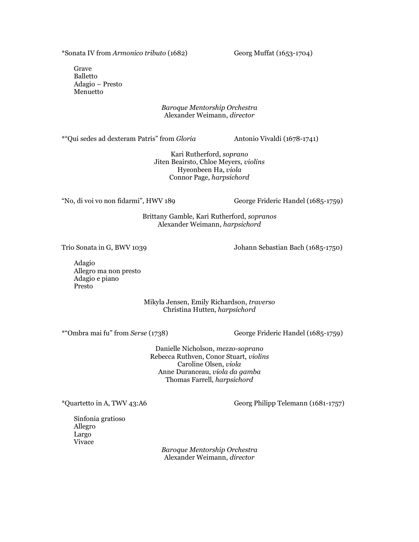\*Sonata IV from *Armonico tributo* (1682) Georg Muffat (1653-1704)

Grave Balletto Adagio – Presto Menuetto

#### *Baroque Mentorship Orchestra* Alexander Weimann, *director*

\*"Qui sedes ad dexteram Patris" from *Gloria* Antonio Vivaldi (1678-1741)

Kari Rutherford, *soprano* Jiten Beairsto, Chloe Meyers, *violins* Hyeonbeen Ha, *viola* Connor Page, *harpsichord*

"No, di voi vo non fidarmi", HWV 189 George Frideric Handel (1685-1759)

Brittany Gamble, Kari Rutherford, *sopranos* Alexander Weimann, *harpsichord*

Trio Sonata in G, BWV 1039 Johann Sebastian Bach (1685-1750)

Adagio Allegro ma non presto Adagio e piano Presto

> Mikyla Jensen, Emily Richardson, *traverso* Christina Hutten, *harpsichord*

\*"Ombra mai fu" from *Serse* (1738) George Frideric Handel (1685-1759)

Danielle Nicholson, *mezzo-soprano* Rebecca Ruthven, Conor Stuart, *violins* Caroline Olsen, *viola* Anne Duranceau, *viola da gamba* Thomas Farrell, *harpsichord*

\*Quartetto in A, TWV 43:A6 Georg Philipp Telemann (1681-1757)

Sinfonia gratioso Allegro Largo Vivace

*Baroque Mentorship Orchestra* Alexander Weimann, *director*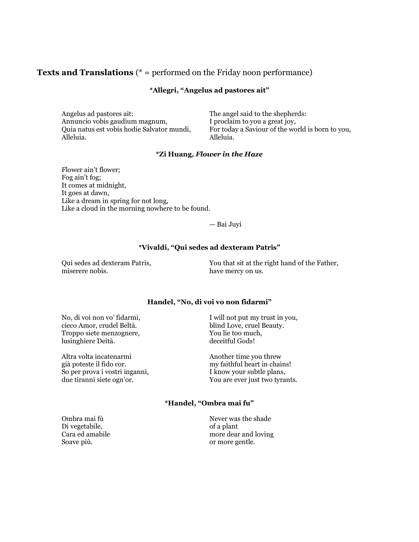### **Texts and Translations** (\* = performed on the Friday noon performance)

#### **\*Allegri, "Angelus ad pastores ait"**

Angelus ad pastores ait: The angel said to the shepherds: Annuncio vobis gaudium magnum, <br>
Ouia natus est vobis hodie Salvator mundi, Por today a Saviour of the wo Alleluia. Alleluia.

For today a Saviour of the world is born to you,

#### **\*Zi Huang,** *Flower in the Haze*

Flower ain't flower; Fog ain't fog; It comes at midnight, It goes at dawn, Like a dream in spring for not long, Like a cloud in the morning nowhere to be found.

— Bai Juyi

#### **\*Vivaldi, "Qui sedes ad dexteram Patris"**

Qui sedes ad dexteram Patris,<br>  $\begin{array}{ccc}\n\text{You that sit at the right hand of the Father, } \\
\text{have mercury on us.}\n\end{array}$ have mercy on us.

#### **Handel, "No, di voi vo non fidarmi"**

cieco Amor, crudel Beltà. blind Love, cruel Beauty. Troppo siete menzognere,  $\begin{array}{ccc} \text{Troppo site} & \text{You lie too much,} \\ \text{lusinghiere Deità.} & & \text{deceitful Gods!} \end{array}$ lusinghiere Deità.

Altra volta incatenarmi Another time you threw<br>
già poteste il fido cor. <br>
Here we have my faithful heart in chai So per prova i vostri inganni, I know your subtle plans, due tiranni siete ogn'or. You are ever just two tyrants.

No, di voi non vo' fidarmi, I will not put my trust in you,

my faithful heart in chains!

#### **\*Handel, "Ombra mai fu"**

Di vegetabile, the contract of a plant Soave più.  $\blacksquare$ 

Ombra mai fù Never was the shade Cara ed amabile more dear and loving